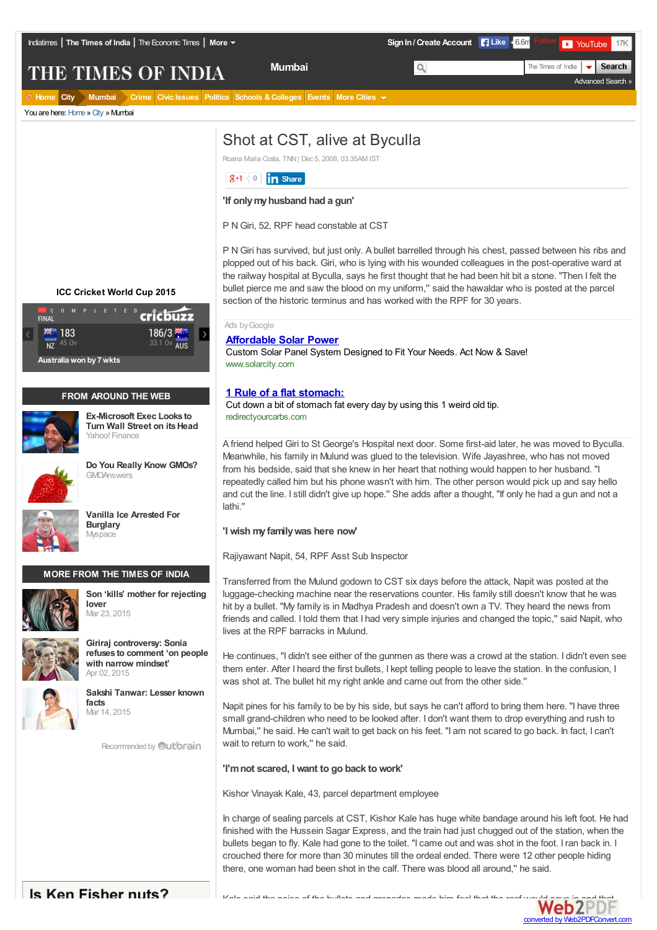Advanced Search »

 $\overline{\phantom{0}}$ 

**Search** 

# <span id="page-0-0"></span>THE TIMES OF INDIA

**Home City Mumbai Crime Civic Issues Politics Schools &Colleges Events More Cities**

You are here: Home » City » Mumbai

# Shot at CST, alive at Byculla

Roana Maria Costa, TNN| Dec 5, 2008, 03.35AM IST



### **'If onlymyhusband had a gun'**

P N Giri, 52, RPF head constable at CST

P N Giri has survived, but just only. A bullet barrelled through his chest, passed between his ribs and plopped out of his back. Giri, who is lying with his wounded colleagues in the post-operative ward at the railway hospital at Byculla, says he first thought that he had been hit bit a stone. "Then I felt the bullet pierce me and saw the blood on my uniform,'' said the hawaldar who is posted at the parcel section of the historic terminus and has worked with the RPF for 30 years.

**Mumbai** The Times of India

#### **LUC**<br>FINAL cricbuzz ● 第1183 186/3 蒂  $\rightarrow$  $NZ$  45 Ov 45 Ov 33.1 Ov AUS **Australiawon by 7wkts**

**ICC Cricket World Cup 2015**

# **FROM AROUND THE WEB**



**Ex-Microsoft Exec Looks to Turn Wall Street on itsHead** Yahoo! Finance

**Do You Really Know GMOs?** GMOAnswers



**Vanilla Ice Arrested For Burglary Myspace** 

# **MORE FROM THE TIMES OF INDIA**



**Son 'kills' mother for rejecting lover**<br>Mar 23, 2015



**Giriraj controversy: Sonia refuses to comment 'on people with narrow mindset'** Apr 02, <sup>2015</sup>



**Sakshi Tanwar: Lesser known facts** Mar 14, <sup>2015</sup>

[Recommended](#page-0-0) by **Outbrain** 



### **Affordable Solar Power**

Custom Solar Panel System Designed to Fit Your Needs. Act Now & Save! www.solarcity.com

# **1 Rule of a flat stomach:**

Cut down a bit of stomach fat every day by using this 1 weird old tip. redirectyourcarbs.com

A friend helped Giri to St George's Hospital next door. Some first-aid later, he was moved to Byculla. Meanwhile, his family in Mulund was glued to the television. Wife Jayashree, who has not moved from his bedside, said that she knew in her heart that nothing would happen to her husband. "I repeatedly called him but his phone wasn't with him. The other person would pick up and say hello and cut the line. I still didn't give up hope." She adds after a thought, "If only he had a gun and not a lathi."

#### **'I wish myfamilywas here now'**

Rajiyawant Napit, 54, RPF Asst Sub Inspector

Transferred from the Mulund godown to CST six days before the attack, Napit was posted at the luggage-checking machine near the reservations counter. His family still doesn't know that he was hit by a bullet. "My family is in Madhya Pradesh and doesn't own a TV. They heard the news from friends and called. I told them that I had very simple injuries and changed the topic,'' said Napit, who lives at the RPF barracks in Mulund.

He continues, "I didn't see either of the gunmen as there was a crowd at the station. I didn't even see them enter. After I heard the first bullets, I kept telling people to leave the station. In the confusion, I was shot at. The bullet hit my right ankle and came out from the other side.''

Napit pines for his family to be by his side, but says he can't afford to bring them here. "I have three small grand-children who need to be looked after. I don't want them to drop everything and rush to Mumbai,'' he said. He can't wait to get back on his feet. "I am not scared to go back. In fact, I can't wait to return to work,'' he said.

#### **'I'mnot scared, I want to go back to work'**

Kishor Vinayak Kale, 43, parcel department employee

In charge of sealing parcels at CST, Kishor Kale has huge white bandage around his left foot. He had finished with the Hussein Sagar Express, and the train had just chugged out of the station, when the bullets began to fly. Kale had gone to the toilet. "I came out and was shot in the foot. I ran back in. I crouched there for more than 30 minutes till the ordeal ended. There were 12 other people hiding there, one woman had been shot in the calf. There was blood all around,'' he said.

Kale said the noise of the bullets and grenades made him feel that the roof would cave  $\mathsf{Web2PD}$